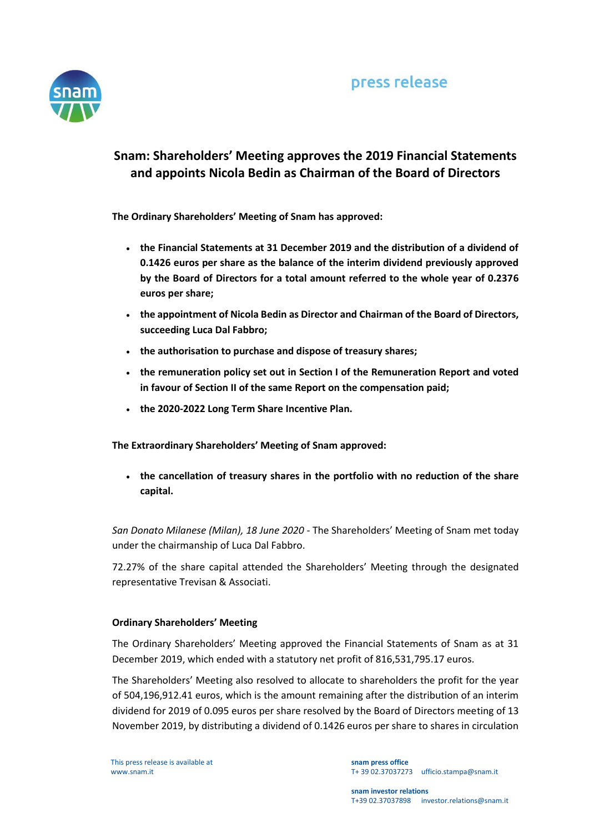

## **Snam: Shareholders' Meeting approves the 2019 Financial Statements and appoints Nicola Bedin as Chairman of the Board of Directors**

**The Ordinary Shareholders' Meeting of Snam has approved:**

- **the Financial Statements at 31 December 2019 and the distribution of a dividend of 0.1426 euros per share as the balance of the interim dividend previously approved by the Board of Directors for a total amount referred to the whole year of 0.2376 euros per share;**
- **the appointment of Nicola Bedin as Director and Chairman of the Board of Directors, succeeding Luca Dal Fabbro;**
- **the authorisation to purchase and dispose of treasury shares;**
- **the remuneration policy set out in Section I of the Remuneration Report and voted in favour of Section II of the same Report on the compensation paid;**
- **the 2020-2022 Long Term Share Incentive Plan.**

**The Extraordinary Shareholders' Meeting of Snam approved:**

 **the cancellation of treasury shares in the portfolio with no reduction of the share capital.**

*San Donato Milanese (Milan), 18 June 2020* - The Shareholders' Meeting of Snam met today under the chairmanship of Luca Dal Fabbro.

72.27% of the share capital attended the Shareholders' Meeting through the designated representative Trevisan & Associati.

## **Ordinary Shareholders' Meeting**

The Ordinary Shareholders' Meeting approved the Financial Statements of Snam as at 31 December 2019, which ended with a statutory net profit of 816,531,795.17 euros.

The Shareholders' Meeting also resolved to allocate to shareholders the profit for the year of 504,196,912.41 euros, which is the amount remaining after the distribution of an interim dividend for 2019 of 0.095 euros per share resolved by the Board of Directors meeting of 13 November 2019, by distributing a dividend of 0.1426 euros per share to shares in circulation

This press release is available at www.snam.it

**snam press office** T+ 39 02.37037273 ufficio.stampa@snam.it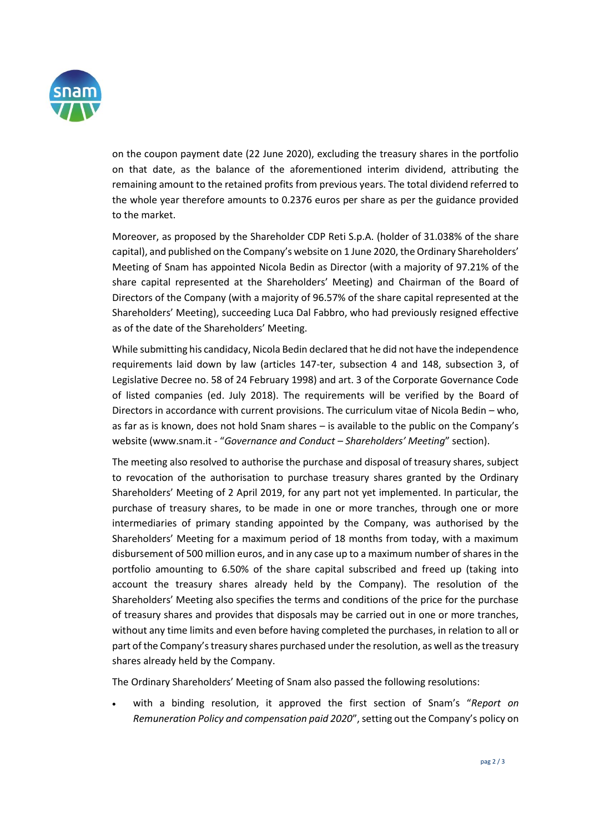

on the coupon payment date (22 June 2020), excluding the treasury shares in the portfolio on that date, as the balance of the aforementioned interim dividend, attributing the remaining amount to the retained profits from previous years. The total dividend referred to the whole year therefore amounts to 0.2376 euros per share as per the guidance provided to the market.

Moreover, as proposed by the Shareholder CDP Reti S.p.A. (holder of 31.038% of the share capital), and published on the Company's website on 1 June 2020, the Ordinary Shareholders' Meeting of Snam has appointed Nicola Bedin as Director (with a majority of 97.21% of the share capital represented at the Shareholders' Meeting) and Chairman of the Board of Directors of the Company (with a majority of 96.57% of the share capital represented at the Shareholders' Meeting), succeeding Luca Dal Fabbro, who had previously resigned effective as of the date of the Shareholders' Meeting.

While submitting his candidacy, Nicola Bedin declared that he did not have the independence requirements laid down by law (articles 147-ter, subsection 4 and 148, subsection 3, of Legislative Decree no. 58 of 24 February 1998) and art. 3 of the Corporate Governance Code of listed companies (ed. July 2018). The requirements will be verified by the Board of Directors in accordance with current provisions. The curriculum vitae of Nicola Bedin – who, as far as is known, does not hold Snam shares – is available to the public on the Company's website (www.snam.it - "*Governance and Conduct – Shareholders' Meeting*" section).

The meeting also resolved to authorise the purchase and disposal of treasury shares, subject to revocation of the authorisation to purchase treasury shares granted by the Ordinary Shareholders' Meeting of 2 April 2019, for any part not yet implemented. In particular, the purchase of treasury shares, to be made in one or more tranches, through one or more intermediaries of primary standing appointed by the Company, was authorised by the Shareholders' Meeting for a maximum period of 18 months from today, with a maximum disbursement of 500 million euros, and in any case up to a maximum number of shares in the portfolio amounting to 6.50% of the share capital subscribed and freed up (taking into account the treasury shares already held by the Company). The resolution of the Shareholders' Meeting also specifies the terms and conditions of the price for the purchase of treasury shares and provides that disposals may be carried out in one or more tranches, without any time limits and even before having completed the purchases, in relation to all or part of the Company's treasury shares purchased under the resolution, as well as the treasury shares already held by the Company.

The Ordinary Shareholders' Meeting of Snam also passed the following resolutions:

 with a binding resolution, it approved the first section of Snam's "*Report on Remuneration Policy and compensation paid 2020*", setting out the Company's policy on